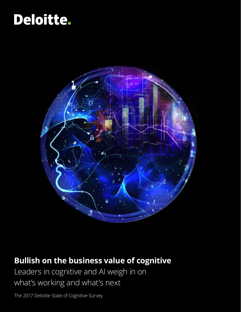# Deloitte.



### **Bullish on the business value of cognitive**

Leaders in cognitive and AI weigh in on what's working and what's next

The 2017 Deloitte State of Cognitive Survey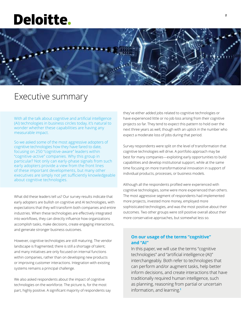## **Deloitte.**



### Executive summary

With all the talk about cognitive and artificial intelligence (AI) technologies in business circles today, it's natural to wonder whether these capabilities are having any measurable impact.

So we asked some of the most aggressive adopters of cognitive technologies how they have fared to date, focusing on 250 "cognitive-aware" leaders within "cognitive-active" companies. Why this group in particular? Not only can early-phase signals from such early adopters provide a view from the front lines of these important developments, but many other executives are simply not yet sufficiently knowledgeable about cognitive technologies.

What did these leaders tell us? Our survey results indicate that early adopters are bullish on cognitive and AI technologies, with expectations that they will transform both companies and entire industries. When these technologies are effectively integrated into workflows, they can directly influence how organizations accomplish tasks, make decisions, create engaging interactions, and generate stronger business outcomes.

However, cognitive technologies are still maturing. The vendor landscape is fragmented; there is still a shortage of talent; and many initiatives are only focused on internal functions within companies, rather than on developing new products or improving customer interactions. Integration with existing systems remains a principal challenge.

We also asked respondents about the impact of cognitive technologies on the workforce. The picture is, for the most part, highly positive. A significant majority of respondents say they've either added jobs related to cognitive technologies or have experienced little or no job loss arising from their cognitive projects so far. They tend to expect this pattern to hold over the next three years as well, though with an uptick in the number who expect a moderate loss of jobs during that period.

Survey respondents were split on the level of transformation that cognitive technologies will drive. A portfolio approach may be best for many companies—exploiting early opportunities to build capabilities and develop institutional support, while at the same time focusing on more transformational innovation in support of individual products, processes, or business models.

Although all the respondents profiled were experienced with cognitive technologies, some were more experienced than others. The most aggressive segment of respondents had implemented more projects, invested more money, employed more sophisticated technologies, and was the most positive about their outcomes. Two other groups were still positive overall about their more conservative approaches, but somewhat less so.

### **On our usage of the terms "cognitive" and "AI"**

In this paper, we will use the terms "cognitive technologies" and "artificial intelligence (AI)" interchangeably. Both refer to technologies that can perform and/or augment tasks, help better inform decisions, and create interactions that have traditionally required human intelligence, such as planning, reasoning from partial or uncertain information, and learning.**<sup>1</sup>**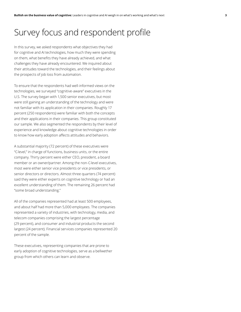### Survey focus and respondent profile

In this survey, we asked respondents what objectives they had for cognitive and AI technologies, how much they were spending on them, what benefits they have already achieved, and what challenges they have already encountered. We inquired about their attitudes toward the technologies, and their feelings about the prospects of job loss from automation.

To ensure that the respondents had well-informed views on the technologies, we surveyed "cognitive-aware" executives in the U.S. The survey began with 1,500 senior executives, but most were still gaining an understanding of the technology and were not familiar with its application in their companies. Roughly 17 percent (250 respondents) were familiar with both the concepts and their applications in their companies. This group constituted our sample. We also segmented the respondents by their level of experience and knowledge about cognitive technologies in order to know how early adoption affects attitudes and behaviors.

A substantial majority (72 percent) of these executives were "C-level," in charge of functions, business units, or the entire company. Thirty percent were either CEO, president, a board member or an owner/partner. Among the non-C-level executives, most were either senior vice presidents or vice presidents, or senior directors or directors. Almost three quarters (74 percent) said they were either experts on cognitive technology or had an excellent understanding of them. The remaining 26 percent had "some broad understanding."

All of the companies represented had at least 500 employees, and about half had more than 5,000 employees. The companies represented a variety of industries, with technology, media, and telecom companies comprising the largest percentage (29 percent), and consumer and industrial products the second largest (24 percent). Financial services companies represented 20 percent of the sample.

These executives, representing companies that are prone to early adoption of cognitive technologies, serve as a bellwether group from which others can learn and observe.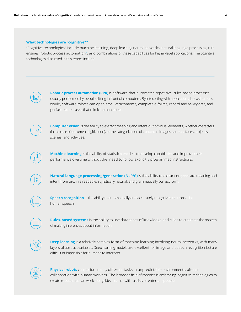#### **What technologies are "cognitive"?**

"Cognitive technologies" include machine learning, deep learning neural networks, natural language processing, rule engines, robotic process automation<sup>2</sup>, and combinations of these capabilities for higher-level applications. The cognitive technologies discussed in this report include:



**Robotic process automation (RPA)** is software that automates repetitive, rules-based processes usually performed by people sitting in front of computers. By interacting with applications just as humans would, software robots can open email attachments, complete e-forms, record and re-key data, and perform other tasks that mimic human action.



**Computer vision** is the ability to extract meaning and intent out of visual elements, whether characters (in the case of document digitization), or the categorization of content in images such as faces, objects, scenes, and activities.



**Machine learning** is the ability of statistical models to develop capabilities and improve their performance overtime without the need to follow explicitly programmed instructions.



**Natural language processing/generation (NLP/G)** is the ability to extract or generate meaning and intent from text in a readable, stylistically natural, and grammatically correct form.



**Speech recognition** is the ability to automatically and accurately recognize and transcribe human speech.

**Rules-based systems** is the ability to use databases of knowledge and rules to automate the process of making inferences about information.



**Deep learning** is a relatively complex form of machine learning involving neural networks, with many layers of abstract variables. Deep learning models are excellent for image and speech recognition, but are difficult or impossible for humans to interpret.



**Physical robots** can perform many different tasks in unpredictable environments, often in collaboration with human workers. The broader field of robotics is embracing cognitive technologies to create robots that can work alongside, interact with, assist, or entertain people.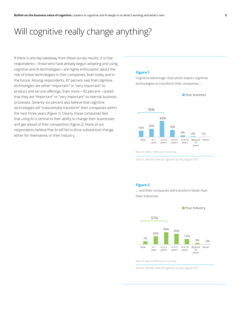### Will cognitive really change anything?

If there is one key takeaway from these survey results, it is that respondents—those who have already begun adopting and using cognitive and AI technologies—are highly enthusiastic about the role of these technologies in their companies, both today and in the future. Among respondents, 87 percent said that cognitive technologies are either "important" or "very important" to product and service offerings. Even more—92 percent—stated that they are "important" or "very important" to internal business processes. Seventy-six percent also believe that cognitive technologies will "substantially transform" their companies within the next three years *(Figure 1)*. Clearly, these companies feel that using AI is central to their ability to change their businesses and get ahead of their competition *(Figure 2)*. None of our respondents believe that AI will fail to drive substantive change, either for themselves or their industry.

### **Figure 1**

Cognitive advantage: Executives expect cognitive technologies to transform their companies…



*Source: Deloitte State of Cognitive Survey, August 2017*

#### **Figure 2**

… and their companies will transform faster than their industries

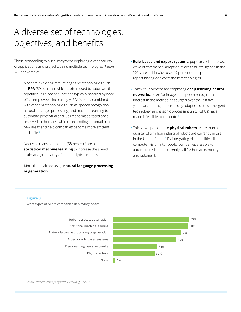### A diverse set of technologies, objectives, and benefits

Those responding to our survey were deploying a wide variety of applications and projects, using multiple technologies *(Figure 3)*. For example:

- Most are exploring mature cognitive technologies such as **RPA** (59 percent), which is often used to automate the repetitive, rule-based functions typically handled by backoffice employees. Increasingly, RPA is being combined with other AI technologies such as speech recognition, natural language processing, and machine learning to automate perceptual and judgment-based tasks once reserved for humans, which is extending automation to new areas and help companies become more efficient and agile. $3$
- Nearly as many companies (58 percent) are using **statistical machine learning** to increase the speed, scale, and granularity of their analytical models.
- More than half are using **natural language processing or generation**.
- **Rule-based and expert systems**, popularized in the last wave of commercial adoption of artificial intelligence in the `90s, are still in wide use: 49 percent of respondents report having deployed those technologies.
- Thirty-four percent are employing **deep learning neural networks**, often for image and speech recognition. Interest in the method has surged over the last five years, accounting for the strong adoption of this emergent technology, and graphic processing units (GPUs) have made it feasible to compute.4
- Thirty-two percent use **physical robots**. More than a quarter of a million industrial robots are currently in use in the United States.<sup>5</sup> By integrating AI capabilities like computer vision into robots, companies are able to automate tasks that currently call for human dexterity and judgment.

#### **Figure 3**

What types of AI are companies deploying today?

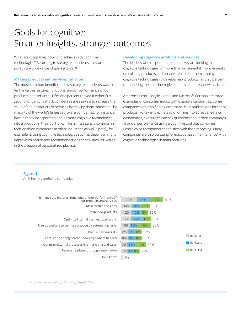### Goals for cognitive: Smarter insights, stronger outcomes

What are companies hoping to achieve with cognitive technologies? According to survey respondents, they are pursuing a wide range of goals *(Figure 4)*.

#### **Making products and services "smarter"**

The most common benefit cited by survey respondents was to "enhance the features, functions, and/or performance of our products and services." Fifty-one percent ranked it either first, second, or third. In short, companies are seeking to increase the value of their products or services by making them "smarter." The majority of the world's largest software companies, for instance, have already incorporated one or more cognitive technologies into a product in their portfolio.<sup>6</sup> This is increasingly common in tech-enabled companies in other industries as well. Spotify, for example, is using cognitive technologies such as deep learning to improve its search and recommendations capabilities, as well as in the creation of personalized playlists.<sup>7</sup>

#### **Developing cognitive products and services**

The leaders who responded to our survey are looking to cognitive technologies for more than incremental improvements on existing products and services. A third of them employ cognitive technologies to develop new products, and 25 percent report using these technologies to pursue entirely new markets.

Amazon's Echo, Google Home, and Microsoft Cortana are three examples of consumer goods with cognitive capabilities. Some companies are also finding enterprise-level applications for these products. For example, instead of drilling into spreadsheets or dashboards, executives can ask questions about their company's financial performance using a cognitive tool that combines Echo's voice recognition capabilities with flash reporting. Many companies are also pursuing "predictive asset maintenance" with cognitive technologies in manufacturing.

#### **Figure 4**

AI: Primary benefits to companies

| Enhance the features, functions, and/or performance of<br>our products and services | 51%<br>15%<br>19%<br>17% |          |
|-------------------------------------------------------------------------------------|--------------------------|----------|
| Make better decisions                                                               | 14%<br>35%<br>10%<br>11% |          |
| Create new products                                                                 | 12%<br>32%<br>12%<br>.8% |          |
| Optimize internal business operations                                               | 12%<br>14%<br>36%        |          |
| Free up workers to be more creative by automating tasks                             | 10%<br>10%<br>16%<br>36% |          |
| Pursue new markets                                                                  | 9% 8%<br>$8\%$<br>25%    |          |
| Capture and apply scarce knowledge where needed                                     | 8%<br>25%<br>9%<br>8%    | Rank 1st |
| Optimize external processes like marketing and sales                                | 7%<br>30%<br>11%<br>12%  | Rank 2nd |
| Reduce headcount through automation                                                 | 7% 8% 8%<br>22%          | Rank 3rd |
| Don't know                                                                          | 2%                       |          |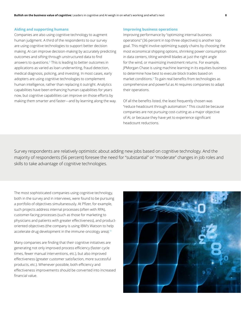### **Aiding and supporting humans**

Companies are also using cognitive technology to augment human judgment. A third of the respondents to our survey are using cognitive technologies to support better decision making. AI can improve decision-making by accurately predicting outcomes and sifting through unstructured data to find answers to questions.<sup>8</sup> This is leading to better outcomes in applications as varied as loan underwriting, fraud detection, medical diagnosis, policing, and investing. In most cases, early adopters are using cognitive technologies to complement human intelligence, rather than replacing it outright. Analytics capabilities have been enhancing human capabilities for years now, but cognitive capabilities can improve on those efforts by making them smarter and faster—and by learning along the way.

### **Improving business operations**

Improving performance by "optimizing internal business operations" (36 percent in top three objectives) is another top goal. This might involve optimizing supply chains by choosing the most economical shipping options, shrinking power consumption in data centers, tilting windmill blades at just the right angle for the wind, or maximizing investment returns. For example, JPMorgan Chase is using machine learning in its equities business to determine how best to execute block trades based on market conditions.9 To gain real benefits from technologies as comprehensive and powerful as AI requires companies to adapt their operations.

Of all the benefits listed, the least frequently chosen was "reduce headcount through automation." This could be because companies are not pursuing cost-cutting as a major objective of AI, or because they have yet to experience significant headcount reductions.

Survey respondents are relatively optimistic about adding new jobs based on cognitive technology. And the majority of respondents (56 percent) foresee the need for "substantial" or "moderate" changes in job roles and skills to take advantage of cognitive technologies.

The most sophisticated companies using cognitive technology, both in the survey and in interviews, were found to be pursuing a portfolio of objectives simultaneously. At Pfizer, for example, such projects address internal processes (often with RPA), customer-facing processes (such as those for marketing to physicians and patients with greater effectiveness), and productoriented objectives (the company is using IBM's Watson to help accelerate drug development in the immune-oncology area).<sup>10</sup>

Many companies are finding that their cognitive initiatives are generating not only improved process efficiency (faster cycle times, fewer manual interventions, etc.), but also improved effectiveness (greater customer satisfaction, more successful products, etc.). Whenever possible, both efficiency and effectiveness improvements should be converted into increased financial value.

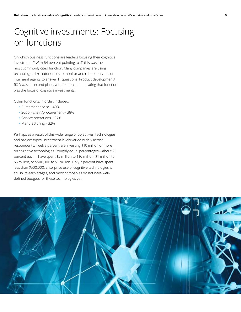### Cognitive investments: Focusing on functions

On which business functions are leaders focusing their cognitive investments? With 64 percent pointing to IT, this was the most commonly cited function. Many companies are using technologies like autonomics to monitor and reboot servers, or intelligent agents to answer IT questions. Product development/ R&D was in second place, with 44 percent indicating that function was the focus of cognitive investments.

Other functions, in order, included:

- Customer service 40%
- Supply chain/procurement 38%
- Service operations 37%
- **•** Manufacturing 32%

Perhaps as a result of this wide range of objectives, technologies, and project types, investment levels varied widely across respondents. Twelve percent are investing \$10 million or more on cognitive technologies. Roughly equal percentages—about 25 percent each—have spent \$5 million to \$10 million, \$1 million to \$5 million, or \$500,000 to \$1 million. Only 7 percent have spent less than \$500,000. Enterprise use of cognitive technologies is still in its early stages, and most companies do not have welldefined budgets for these technologies yet.

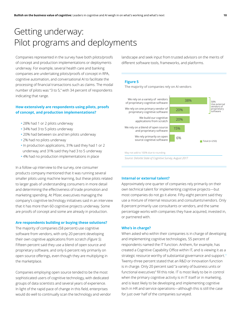### Getting underway: Pilot programs and deployments

Companies represented in the survey have both pilots/proofs of concept and production implementations or deployments underway. For example, several health care and banking companies are undertaking pilots/proofs of concept in RPA, cognitive automation, and conversational AI to facilitate the processing of financial transactions such as claims. The modal number of pilots was "3 to 5," with 34 percent of respondents indicating that range.

### **How extensively are respondents using pilots, proofs of concept, and production implementations?**

- **•** 28% had 1 or 2 pilots underway
- **•** 34% had 3 to 5 pilots underway
- **•** 20% had between six and ten pilots underway
- 2% had no pilots underway
- In production applications, 31% said they had 1 or 2 underway, and 31% said they had 3 to 5 underway
- 4% had no production implementations in place

In a follow-up interview to the survey, one consumer products company mentioned that it was running several smaller pilots using machine learning, but these pilots related to larger goals of understanding consumers in more detail and determining the effectiveness of trade promotion and marketing spending. At Pfizer, executives managing the company's cognitive technology initiatives said in an interview that it has more than 60 cognitive projects underway. Some are proofs of concept and some are already in production.

### **Are respondents building or buying these solutions?**

The majority of companies (58 percent) use cognitive software from vendors, with only 20 percent developing their own cognitive applications from scratch *(Figure 5).* Fifteen percent said they use a blend of open source and proprietary software, and only 6 percent rely primarily on open source offerings, even though they are multiplying in the marketplace.

Companies employing open source tended to be the most sophisticated users of cognitive technology, with dedicated groups of data scientists and several years of experience. In light of the rapid pace of change in this field, enterprises would do well to continually scan the technology and vendor landscape and seek input from trusted advisors on the merits of different software tools, frameworks, and platforms.

### **Figure 5**

The majority of companies rely on AI vendors





### **Internal or external talent?**

Approximately one quarter of companies rely primarily on their own technical talent for implementing cognitive projects—but most companies do not go it alone. Fifty-eight percent said they use a mixture of internal resources and consultants/vendors. Only 8 percent primarily use consultants or vendors, and the same percentage works with companies they have acquired, invested in, or partnered with.

#### **Who's in charge?**

When asked who within their companies is in charge of developing and implementing cognitive technologies, 55 percent of respondents named the IT function. Anthem, for example, has created a Cognitive Capability Office within IT, and is viewing it as a strategic resource worthy of substantial governance and support.<sup>11</sup> Twenty-three percent stated that an R&D or Innovation function is in charge. Only 20 percent said "a variety of business units or functional executives" fill this role. IT is most likely to be in control when the primary cognitive activity is in IT itself or in marketing, and is least likely to be developing and implementing cognitive tech in HR and service operations—although this is still the case for just over half of the companies surveyed.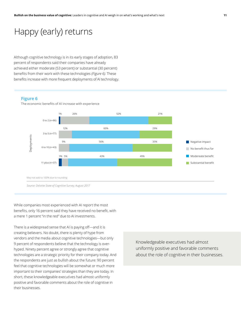### Happy (early) returns

Although cognitive technology is in its early stages of adoption, 83 percent of respondents said their companies have already achieved either moderate (53 percent) or substantial (30 percent) benefits from their work with these technologies *(Figure 6)*. These benefits increase with more frequent deployments of AI technology.

#### **Figure 6**

The economic benefits of AI increase with experience



*Source: Deloitte State of Cognitive Survey, August 2017*

While companies most experienced with AI report the most benefits, only 16 percent said they have received no benefit, with a mere 1 percent "in the red" due to AI investments.

There is a widespread sense that AI is paying off—and it is creating believers. No doubt, there is plenty of hype from vendors and the media about cognitive technologies—but only 9 percent of respondents believe that the technology is overhyped. Ninety percent agree or strongly agree that cognitive technologies are a strategic priority for their company today. And the respondents are just as bullish about the future: 90 percent feel that cognitive technologies will be somewhat or much more important to their companies' strategies than they are today. In short, these knowledgeable executives had almost uniformly positive and favorable comments about the role of cognitive in their businesses.

Knowledgeable executives had almost uniformly positive and favorable comments about the role of cognitive in their businesses.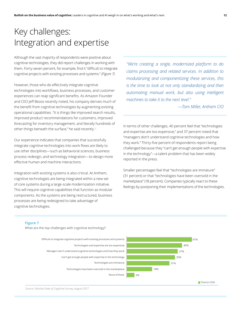### Key challenges: Integration and expertise

Although the vast majority of respondents were positive about cognitive technologies, they did report challenges in working with them. Forty-seven percent, for example, find it "difficult to integrate cognitive projects with existing processes and systems." *(Figure 7)*

However, those who do effectively integrate cognitive technologies into workflows, business processes, and customer experiences can reap significant benefits. As Amazon Founder and CEO Jeff Bezos recently noted, his company derives much of the benefit from cognitive technologies by augmenting existing operational capabilities. "It is things like improved search results, improved product recommendations for customers, improved forecasting for inventory management, and literally hundreds of other things beneath the surface," he said recently.<sup>12</sup>

Our experience indicates that companies that successfully integrate cognitive technologies into work flows are likely to use other disciplines—such as behavioral sciences, business process redesign, and technology integration—to design more effective human and machine interactions.

Integration with existing systems is also critical. At Anthem, cognitive technologies are being integrated within a new set of core systems during a large-scale modernization initiative. This will require cognitive capabilities that function as modular components. As the systems are being restructured, business processes are being redesigned to take advantage of cognitive technologies.

*"We're creating a single, modernized platform to do claims processing and related services. In addition to modularizing and componentizing these services, this is the time to look at not only standardizing and then automating manual work, but also using intelligent machines to take it to the next level."*

*—Tom Miller, Anthem CIO*

In terms of other challenges, 40 percent feel that "technologies and expertise are too expensive," and 37 percent noted that "managers don't understand cognitive technologies and how they work." Thirty-five percent of respondents report being challenged because they "can't get enough people with expertise in the technology"—a talent problem that has been widely reported in the press.

Smaller percentages feel that "technologies are immature" (31 percent) or that "technologies have been oversold in the marketplace" (18 percent). Companies typically react to these feelings by postponing their implementations of the technologies.

### **Figure 7**

What are the top challenges with cognitive technology?

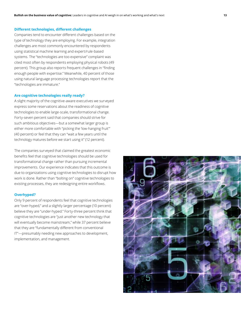### **Different technologies, different challenges**

Companies tend to encounter different challenges based on the type of technology they are employing. For example, integration challenges are most commonly encountered by respondents using statistical machine learning and expert/rule-based systems. The "technologies are too expensive" complaint was cited most often by respondents employing physical robots (49 percent). This group also reports frequent challenges in "finding enough people with expertise." Meanwhile, 40 percent of those using natural language processing technologies report that the "technologies are immature."

### **Are cognitive technologies really ready?**

A slight majority of the cognitive-aware executives we surveyed express some reservations about the readiness of cognitive technologies to enable large-scale, transformational change. Forty-seven percent said that companies should strive for such ambitious objectives—but a somewhat larger group is either more comfortable with "picking the 'low-hanging fruit'" (40 percent) or feel that they can "wait a few years until the technology matures before we start using it" (12 percent).

The companies surveyed that claimed the greatest economic benefits feel that cognitive technologies should be used for transformational change rather than pursuing incremental improvements. Our experience indicates that this outcome is due to organizations using cognitive technologies to disrupt how work is done. Rather than "bolting on" cognitive technologies to existing processes, they are redesigning entire workflows.

### **Overhyped?**

Only 9 percent of respondents feel that cognitive technologies are "over-hyped," and a slightly larger percentage (10 percent) believe they are "under-hyped." Forty-three percent think that cognitive technologies are "just another new technology that will eventually become mainstream," while 37 percent believe that they are "fundamentally different from conventional IT"—presumably needing new approaches to development, implementation, and management.

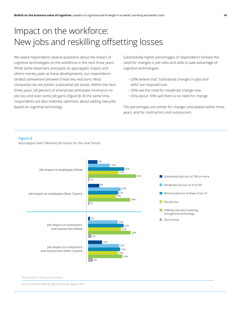### Impact on the workforce: New jobs and reskilling offsetting losses

We asked respondents several questions about the impact of cognitive technologies on the workforce in the next three years. While some observers anticipate an apocalyptic impact and others merely yawn at these developments, our respondents landed somewhere between these two reactions. Most companies do not predict substantial job losses. Within the next three years, 69 percent of enterprises anticipate minimal to no job loss and even some job gains *(Figure 8)*. At the same time, respondents are also relatively optimistic about adding new jobs based on cognitive technology.

Substantially higher percentages of respondents foresee the need for changes in job roles and skills to take advantage of cognitive technologies:

- **•** 20% believe that "substantial changes in jobs and skills" are required now
- **•** 36% see the need for moderate change now
- Only about 10% said there is no need for change

The percentages are similar for changes anticipated within three years, and for contractors and outsourcers.

#### **Figure 8**

Apocalypse later? Minimal job losses for the near future



May not add to 100% due to rounding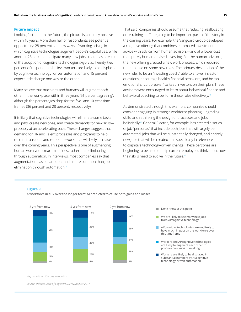### **Future impact**

Looking further into the future, the picture is generally positive within 10 years. More than half of respondents see potential opportunity: 28 percent see new ways of working arising in which cognitive technologies augment people's capabilities, while another 28 percent anticipate many new jobs created as a result of the adoption of cognitive technologies *(Figure 9).* Twenty-two percent of respondents believe workers are likely to be displaced by cognitive technology–driven automation and 15 percent expect little change one way or the other.

Many believe that machines and humans will augment each other in the workplace within three years (51 percent agreeing), although the percentages drop for the five- and 10-year time frames (36 percent and 28 percent, respectively).

It is likely that cognitive technologies will eliminate some tasks and jobs, create new ones, and create demands for new skills probably at an accelerating pace. These changes suggest that demand for HR and Talent processes and programs to help recruit, transition, and retool the workforce will likely increase over the coming years. This perspective is one of augmenting human work with smart machines, rather than eliminating it through automation. In interviews, most companies say that augmentation has so far been much more common than job elimination through automation.<sup>13</sup>

That said, companies should assume that reducing, reallocating, or retraining staff are going to be important parts of the story in the coming years. For example, the Vanguard Group developed a cognitive offering that combines automated investment advice with advice from human advisors—and at a lower cost than purely human-advised investing. For the human advisors, the new offering created a new work process, which required them to take on some new roles. The primary description of the new role: To be an "investing coach," able to answer investor questions, encourage healthy financial behaviors, and be "an emotional circuit breaker" to keep investors on their plan. These advisors were encouraged to learn about behavioral finance and behavioral coaching to perform these roles effectively.<sup>14</sup>

As demonstrated through this example, companies should consider engaging in strategic workforce planning, upgrading skills, and rethinking the design of processes and jobs holistically.15 General Electric, for example, has created a series of job "personas" that include both jobs that will largely be automated, jobs that will be substantially changed, and entirely new jobs that will be created—all specifically in reference to cognitive technology-driven change. These personas are beginning to be used to help current employees think about how their skills need to evolve in the future.16

#### **Figure 9**

A workforce in flux over the longer term: AI predicted to cause both gains and losses





- are likely to augment each other to produce new ways of working
- $\blacksquare$  Workers are likely to be displaced in substantial numbers by AI/cognitive technology-driven automation

May not add to 100% due to rounding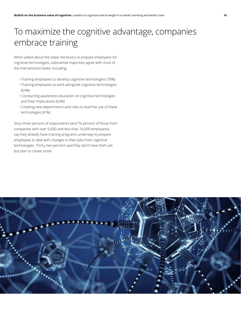### To maximize the cognitive advantage, companies embrace training

When asked about the steps necessary to prepare employees for cognitive technologies, substantial majorities agree with most of the interventions listed, including:

- Training employees to develop cognitive technologies (70%)
- Training employees to work alongside cognitive technologies (64%)
- Conducting awareness education on cognitive technologies and their implications (63%)
- Creating new departments and roles to lead the use of these technologies (61%)

Sixty-three percent of respondents (and 76 percent of those from companies with over 5,000 and less than 10,000 employees) say they already have training programs underway to prepare employees to deal with changes in their jobs from cognitive technologies. Thirty-two percent said they don't have them yet but plan to create some.

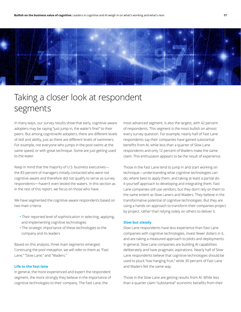

### Taking a closer look at respondent segments

In many ways, our survey results show that early, cognitive-aware adopters may be saying "just jump in, the water's fine!" to their peers. But among cognitive/AI adopters, there are different levels of skill and ability, just as there are different levels of swimmers. For example, not everyone who jumps in the pool swims at the same speed, or with great technique. Some are just getting used to the water.

Keep in mind that the majority of U.S. business executives the 83 percent of managers initially contacted who were not cognitive-aware and therefore did not qualify to serve as survey respondents—haven't even tested the waters. In this section as in the rest of this report, we focus on those who have.

We have segmented the cognitive-aware respondents based on two main criteria:

- Their reported level of sophistication in selecting, applying, and implementing cognitive technologies
- The strategic importance of these technologies to the company and its leaders

Based on this analysis, three main segments emerged. Continuing the pool metaphor, we will refer to them as "Fast Lane," "Slow Lane," and "Waders."

### **Life in the fast lane**

In general, the more experienced and expert the respondent segment, the more strongly they believe in the importance of cognitive technologies to their company. The Fast Lane, the

most advanced segment, is also the largest, with 42 percent of respondents. This segment is the most bullish on almost every survey question. For example, nearly half of Fast Lane respondents say their companies have gained substantial benefits from AI, while less than a quarter of Slow Lane respondents and only 12 percent of Waders make the same claim. This enthusiasm appears to be the result of experience.

Those in the Fast Lane tend to jump in and start working on technique—understanding what cognitive technologies can do, where best to apply them, and taking at least a partial doit-yourself approach to developing and integrating them. Fast Lane companies still use vendors, but they don't rely on them to the same extent as Slow Laners and Waders. They believe in the transformative potential of cognitive technologies. But they are using a hands-on approach to transform their companies project by project, rather than relying solely on others to deliver it.

### **Slow but steady**

Slow Lane respondents have less experience than Fast Lane companies with cognitive technologies, invest fewer dollars in it, and are taking a measured approach to pilots and deployments. In general, Slow Lane companies are building AI capabilities deliberately and have pragmatic aspirations. Nearly half of Slow Lane respondents believe that cognitive technologies should be used to pluck "low-hanging fruit," while 30 percent of Fast Lane and Waders felt the same way.

Those in the Slow Lane are getting results from AI: While less than a quarter claim "substantial" economic benefits from their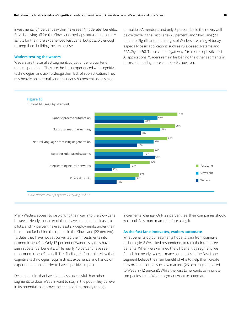investments, 64 percent say they have seen "moderate" benefits. So AI is paying off for the Slow Lane, perhaps not as handsomely as it is for the more experienced Fast Lane, but possibly enough to keep them building their expertise.

#### **Waders testing the waters**

Waders are the smallest segment, at just under a quarter of total respondents. They are the least experienced with cognitive technologies, and acknowledge their lack of sophistication. They rely heavily on external vendors: nearly 80 percent use a single

or multiple AI vendors, and only 5 percent build their own, well below those in the Fast Lane (28 percent) and Slow Lane (23 percent). Significant percentages of Waders are using AI today, especially basic applications such as rule-based systems and RPA *(Figure 10)*. These can be "gateways" to more sophisticated AI applications. Waders remain far behind the other segments in terms of adopting more complex AI, however.

### **Figure 10**

Current AI usage by segment



*Source: Deloitte State of Cognitive Survey, August 2017*

Many Waders appear to be working their way into the Slow Lane, however. Nearly a quarter of them have completed at least six pilots, and 17 percent have at least six deployments under their belts—not far behind their peers in the Slow Lane (22 percent). To date, they have not yet converted their investments into economic benefits. Only 12 percent of Waders say they have seen substantial benefits, while nearly 40 percent have seen no economic benefits at all. This finding reinforces the view that cognitive technologies require direct experience and hands-on experimentation in order to have a positive impact.

Despite results that have been less successful than other segments to date, Waders want to stay in the pool. They believe in its potential to improve their companies, mostly though

incremental change. Only 22 percent feel their companies should wait until AI is more mature before using it.

### **As the fast lane innovates, waders automate**

What benefits do our segments hope to gain from cognitive technologies? We asked respondents to rank their top three benefits. When we examined the #1 benefit by segment, we found that nearly twice as many companies in the Fast Lane segment believe the main benefit of AI is to help them create new products or pursue new markets (26 percent) compared to Waders (12 percent). While the Fast Lane wants to innovate, companies in the Wader segment want to automate.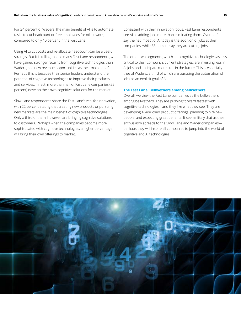For 34 percent of Waders, the main benefit of AI is to automate tasks to cut headcount or free employees for other work, compared to only 10 percent in the Fast Lane.

Using AI to cut costs and re-allocate headcount can be a useful strategy. But it is telling that so many Fast Lane respondents, who have gained stronger returns from cognitive technologies than Waders, see new revenue opportunities as their main benefit. Perhaps this is because their senior leaders understand the potential of cognitive technologies to improve their products and services. In fact, more than half of Fast Lane companies (55 percent) develop their own cognitive solutions for the market.

Slow Lane respondents share the Fast Lane's zeal for innovation, with 22 percent stating that creating new products or pursuing new markets are the main benefit of cognitive technologies. Only a third of them, however, are bringing cognitive solutions to customers. Perhaps when the companies become more sophisticated with cognitive technologies, a higher percentage will bring their own offerings to market.

Consistent with their innovation focus, Fast Lane respondents see AI as adding jobs more than eliminating them. Over half say the net impact of AI today is the addition of jobs at their companies, while 38 percent say they are cutting jobs.

The other two segments, which see cognitive technologies as less critical to their company's current strategies, are investing less in AI jobs and anticipate more cuts in the future. This is especially true of Waders, a third of which are pursuing the automation of jobs as an explicit goal of AI.

### **The Fast Lane: Bellwethers among bellwethers**

Overall, we view the Fast Lane companies as the bellwethers among bellwethers. They are pushing forward fastest with cognitive technologies—and they like what they see. They are developing AI-enriched product offerings, planning to hire new people, and expecting great benefits. It seems likely that as their enthusiasm spreads to the Slow Lane and Wader companies perhaps they will inspire all companies to jump into the world of cognitive and AI technologies.

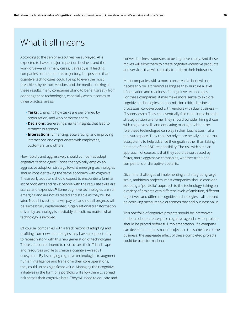### What it all means

According to the senior executives we surveyed, AI is expected to have a major impact on business and the workforce—and in many cases, it already is. If leading companies continue on this trajectory, it is possible that cognitive technologies could live up to even the most breathless hype from vendors and the media. Looking at these results, many companies stand to benefit greatly from adopting these technologies, especially when it comes to three practical areas:

- **Tasks:** Changing how tasks are performed by organization, and who performs them.
- **Decisions:** Generating smarter insights that lead to stronger outcomes.
- **• Interactions:** Enhancing, accelerating, and improving interactions and experiences with employees, customers, and others.

How rapidly and aggressively should companies adopt cognitive technologies? Those that typically employ an aggressive adoption strategy toward emerging technologies should consider taking the same approach with cognitive. These early adopters should expect to encounter a familiar list of problems and risks: people with the requisite skills are scarce and expensive. **<sup>17</sup>**Some cognitive technologies are still emerging and are not as tested and stable as they will be later. Not all investments will pay off, and not all projects will be successfully implemented. Organizational transformation driven by technology is inevitably difficult, no matter what technology is involved.

Of course, companies with a track record of adopting and profiting from new technologies may have an opportunity to repeat history with this new generation of technologies. These companies intend to restructure their IT landscape and resources profile to create a cognitive—ready IT ecosystem. By leveraging cognitive technologies to augment human intelligence and transform their core operations, they could unlock significant value. Managing their cognitive initiatives in the form of a portfolio will allow them to spread risk across their cognitive bets. They will need to educate and convert business sponsors to be cognitive-ready. And these moves will allow them to create cognitive-intensive products and services that will radically transform their industries.

Most companies with a more conservative bent will not necessarily be left behind as long as they nurture a level of education and readiness for cognitive technologies. For these companies, it may make more sense to explore cognitive technologies on non-mission critical business processes, co-developed with vendors with dual business— IT sponsorship. They can eventually fold them into a broader strategic vision over time. They should consider hiring those with cognitive skills and educating managers about the role these technologies can play in their businesses—at a measured pace. They can also rely more heavily on external ecosystems to help advance their goals rather than taking on most of the R&D responsibility. The risk with such an approach, of course, is that they could be surpassed by faster, more aggressive companies, whether traditional competitors or disruptive upstarts.

Given the challenges of implementing and integrating largescale, ambitious projects, most companies should consider adopting a "portfolio" approach to the technology, taking on a variety of projects with different levels of ambition, different objectives, and different cognitive technologies—all focused on achieving measureable outcomes that add business value.

This portfolio of cognitive projects should be interwoven under a coherent enterprise cognitive agenda. Most projects should be piloted before full implementation. If a company can develop multiple smaller projects in the same area of the business, the aggregate effect of these completed projects could be transformational.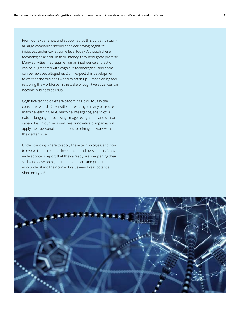From our experience, and supported by this survey, virtually all large companies should consider having cognitive initiatives underway at some level today. Although these technologies are still in their infancy, they hold great promise. Many activities that require human intelligence and action can be augmented with cognitive technologies– and some can be replaced altogether. Don't expect this development to wait for the business world to catch up. Transitioning and retooling the workforce in the wake of cognitive advances can become business as usual.

Cognitive technologies are becoming ubiquitous in the consumer world. Often without realizing it, many of us use machine learning, RPA, machine intelligence, analytics, AI, natural language processing, image recognition, and similar capabilities in our personal lives. Innovative companies will apply their personal experiences to reimagine work within their enterprise.

Understanding where to apply these technologies, and how to evolve them, requires investment and persistence. Many early adopters report that they already are sharpening their skills and developing talented managers and practitioners who understand their current value—and vast potential. Shouldn't you?

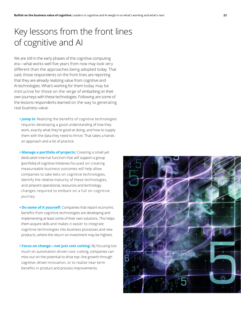## Key lessons from the front lines of cognitive and AI

We are still in the early phases of the cognitive computing era—what works well five years from now may look very different than the approaches being adopted today. That said, those respondents on the front lines are reporting that they are already realizing value from cognitive and AI technologies. What's working for them today may be instructive for those on the verge of embarking on their own journeys with these technologies. Following are some of the lessons respondents learned on the way to generating real business value:

- **Jump in:** Realizing the benefits of cognitive technologies requires developing a good understanding of how they work, exactly what they're good at doing, and how to supply them with the data they need to thrive. That takes a handson approach and a lot of practice.
- **Manage a portfolio of projects:** Creating a small yet dedicated internal function that will support a group (portfolio) of cognitive initiatives focused on creating measureable business outcomes will help allow companies to take bets on cognitive technologies, identify the relative maturity of these technologies, and pinpoint operational, resources and technology changes required to embark on a full on cognitive journey.
- **Do some of it yourself:** Companies that report economic benefits from cognitive technologies are developing and implementing at least some of their own solutions. This helps them acquire skills and makes it easier to integrate cognitive technologies into business processes and new products, where the return on investment may be highest.
- **Focus on change—not just cost cutting:** By focusing too much on automation-driven cost–cutting, companies can miss out on the potential to drive top–line growth through cognitive–driven innovation, or to realize near-term benefits in product and process improvements.

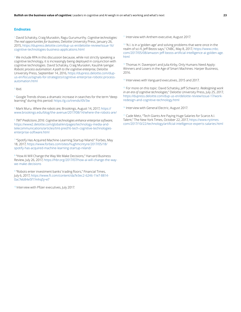#### **Endnotes**

1 David Schatsky, Craig Muraskin, Ragu Gurumurthy. *Cognitive technologies: The real opportunities for business*, Deloitte University Press, January 26, 2015, https://dupress.deloitte.com/dup-us-en/deloitte-review/issue-16/ cognitive-technologies-business-applications.html

<sup>2</sup> We include RPA in this discussion because, while not strictly speaking a cognitive technology, it is increasingly being deployed in conjunction with cognitive technologies. David Schatsky, Craig Muraskin, Kaushik Iyengar. *Robotic process automation: A path to the cognitive enterprise*, Deloitte University Press, September 14, 2016, https://dupress.deloitte.com/dupus-en/focus/signals-for-strategists/cognitive-enterprise-robotic-processautomation.html

<sup>3</sup> Ibid.

4 Google Trends shows a dramatic increase in searches for the term "deep learning" during this period: https://g.co/trends/I0V3w

5 Mark Muru. *Where the robots are*, Brookings, August 14, 2017, https:// www.brookings.edu/blog/the-avenue/2017/08/14/where-the-robots-are/

<sup>6</sup> *TMT Predictions 2016: Cognitive technologies enhance enterprise software*, https://www2.deloitte.com/global/en/pages/technology-media-andtelecommunications/articles/tmt-pred16-tech-cognitive-technologiesenterprise-software.html

7 "Spotify Has Acquired Machine-Learning Startup Niland." Forbes, May 18, 2017, https://www.forbes.com/sites/hughmcintyre/2017/05/18/ spotify-has-acquired-machine-learning-startup-niland/

8 "How AI Will Change the Way We Make Decisions," Harvard Business Review, July 26, 2017, https://hbr.org/2017/07/how-ai-will-change-the-waywe-make-decisions

<sup>9</sup> "Robots enter investment banks' trading floors," Financial Times, July 6, 2017, https://www.ft.com/content/da7e3ec2-6246-11e7-8814- 0ac7eb84e5f1?mhq5j=e7

<sup>10</sup> Interview with Pfizer executives, July 2017.

<sup>11</sup> Interview with Anthem executive, August 2017.

 $12$  "A.I. is in a 'golden age' and solving problems that were once in the realm of sci-fi, Jeff Bezos says," CNBC, May 8, 2017, https://www.cnbc. com/2017/05/08/amazon-jeff-bezos-artificial-intelligence-ai-golden-age. html

<sup>13</sup> Thomas H. Davenport and Julia Kirby, Only Humans Need Apply: Winners and Losers in the Age of Smart Machines. Harper Business, 2016.

<sup>14</sup> Interviews with Vanguard executives, 2015 and 2017.

<sup>15</sup> For more on this topic: David Schatsky, Jeff Schwartz. *Redesigning work in an era of cognitive technologies*," Deloitte University Press, July 25, 2017, https://dupress.deloitte.com/dup-us-en/deloitte-review/issue-17/workredesign-and-cognitive-technology.html

<sup>16</sup> Interview with General Electric, August 2017.

<sup>17</sup> Cade Metz, "Tech Giants Are Paying Huge Salaries for Scarce A.I. Talent," The New York Times, October 22, 2017, https://www.nytimes. com/2017/10/22/technology/artificial-intelligence-experts-salaries.html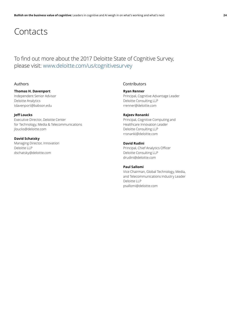### **Contacts**

### To find out more about the 2017 Deloitte State of Cognitive Survey, please visit: www.deloitte.com/us/cognitivesurvey

### **Thomas H. Davenport**

Independent Senior Advisor Deloitte Analytics tdavenport@babson.edu

#### **Jeff Loucks**

Executive Director, Deloitte Center for Technology, Media & Telecommunications jloucks@deloitte.com

### **David Schatsky**

Managing Director, Innovation Deloitte LLP dschatsky@deloitte.com

### Authors Contributors

### **Ryan Renner**

Principal, Cognitive Advantage Leader Deloitte Consulting LLP rrenner@deloitte.com

### **Rajeev Ronanki**

Principal, Cognitive Computing and Healthcare Innovation Leader Deloitte Consulting LLP rronanki@deloitte.com

### **David Rudini**

Principal, Chief Analytics Officer Deloitte Consulting LLP drudini@deloitte.com

### **Paul Sallomi**

Vice Chairman, Global Technology, Media, and Telecommunications Industry Leader Deloitte LLP psallomi@deloitte.com